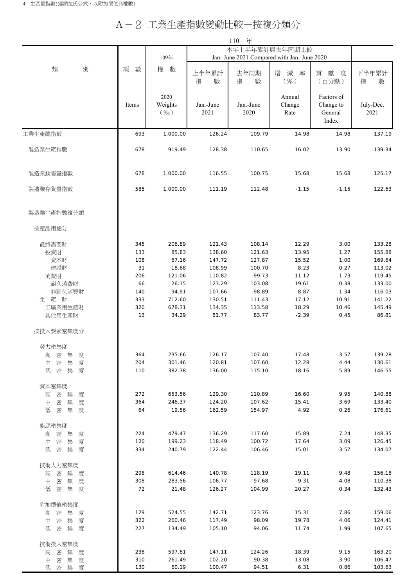## A-2 工業生產指數變動比較—按複分類分

|                            |            | 110<br>年                   |                                             |                   |                          |                                             |                   |  |
|----------------------------|------------|----------------------------|---------------------------------------------|-------------------|--------------------------|---------------------------------------------|-------------------|--|
|                            |            |                            | 本年上半年累計與去年同期比較                              |                   |                          |                                             |                   |  |
| 別<br>類                     |            | 109年<br>數<br>權             | Jan.-June 2021 Compared with Jan.-June 2020 |                   |                          |                                             |                   |  |
|                            | 項<br>數     |                            | 上半年累計<br>指<br>數                             | 去年同期<br>指<br>數    | 增<br>減<br>率<br>$($ %)    | 獻<br>貢<br>度<br>(百分點)                        | 下半年累計<br>指<br>數   |  |
|                            | Items      | 2020<br>Weights<br>$(\%0)$ | Jan.-June<br>2021                           | Jan.-June<br>2020 | Annual<br>Change<br>Rate | Factors of<br>Change to<br>General<br>Index | July-Dec.<br>2021 |  |
| 工業生產總指數                    | 693        | 1,000.00                   | 126.24                                      | 109.79            | 14.98                    | 14.98                                       | 137.19            |  |
| 製造業生產指數                    | 678        | 919.49                     | 128.38                                      | 110.65            | 16.02                    | 13.90                                       | 139.34            |  |
| 製造業銷售量指數                   | 678        | 1,000.00                   | 116.55                                      | 100.75            | 15.68                    | 15.68                                       | 125.17            |  |
| 製造業存貨量指數                   | 585        | 1,000.00                   | 111.19                                      | 112.48            | $-1.15$                  | $-1.15$                                     | 122.63            |  |
| 製造業生產指數複分類                 |            |                            |                                             |                   |                          |                                             |                   |  |
| 按產品用途分                     |            |                            |                                             |                   |                          |                                             |                   |  |
| 最終需要財                      | 345        | 206.89                     | 121.43                                      | 108.14            | 12.29                    | 3.00                                        | 133.28            |  |
| 投資財                        | 133        | 85.83                      | 138.60                                      | 121.63            | 13.95                    | 1.27                                        | 155.88            |  |
| 資本財                        | 108        | 67.16                      | 147.72                                      | 127.87            | 15.52                    | 1.00                                        | 169.64            |  |
| 建設財                        | 31         | 18.68                      | 108.99                                      | 100.70            | 8.23                     | 0.27                                        | 113.02            |  |
| 消費財                        | 206        | 121.06                     | 110.82                                      | 99.73             | 11.12                    | 1.73                                        | 119.45            |  |
| 耐久消費財                      | 66         | 26.15                      | 123.29                                      | 103.08            | 19.61                    | 0.38                                        | 133.00            |  |
| 非耐久消費財<br>生 產 財            | 140<br>333 | 94.91<br>712.60            | 107.66<br>130.51                            | 98.89<br>111.43   | 8.87<br>17.12            | 1.34<br>10.91                               | 116.03<br>141.22  |  |
| 工礦業用生產財                    | 320        | 678.31                     | 134.35                                      | 113.58            | 18.29                    | 10.46                                       | 145.49            |  |
| 其他用生產財                     | 13         | 34.29                      | 81.77                                       | 83.77             | $-2.39$                  | 0.45                                        | 86.81             |  |
| 按投入要素密集度分                  |            |                            |                                             |                   |                          |                                             |                   |  |
| 勞力密集度                      |            |                            |                                             |                   |                          |                                             |                   |  |
| 集<br>度<br>高<br>密           | 364        | 235.66                     | 126.17                                      | 107.40            | 17.48                    | 3.57                                        | 139.28            |  |
| 密<br>中<br>集<br>度           | 204        | 301.46                     | 120.81                                      | 107.60            | 12.28                    | 4.44                                        | 130.61            |  |
| 集 度<br>密<br>低              | 110        | 382.38                     | 136.00                                      | 115.10            | 18.16                    | 5.89                                        | 146.55            |  |
| 資本密集度                      |            |                            |                                             |                   |                          |                                             |                   |  |
| 集<br>高 密<br>度              | 272        | 653.56                     | 129.30                                      | 110.89            | 16.60                    | 9.95                                        | 140.88            |  |
| 中<br>密<br>集<br>度           | 364        | 246.37                     | 124.20                                      | 107.62            | 15.41                    | 3.69                                        | 133.40            |  |
| 低<br>密<br>集 度              | 64         | 19.56                      | 162.59                                      | 154.97            | 4.92                     | 0.26                                        | 176.61            |  |
| 能源密集度                      |            |                            |                                             |                   |                          |                                             |                   |  |
| 密<br>集<br>高<br>度           | 224        | 479.47                     | 136.29                                      | 117.60            | 15.89                    | 7.24                                        | 148.35            |  |
| 集<br>中<br>密<br>度           | 120        | 199.23                     | 118.49                                      | 100.72            | 17.64                    | 3.09                                        | 126.45            |  |
| 密<br>集 度<br>低              | 334        | 240.79                     | 122.44                                      | 106.46            | 15.01                    | 3.57                                        | 134.07            |  |
| 技術人力密集度                    |            |                            |                                             |                   |                          |                                             |                   |  |
| 密<br>集<br>度<br>高           | 298        | 614.46                     | 140.78                                      | 118.19            | 19.11                    | 9.48                                        | 156.18            |  |
| 密<br>集<br>度<br>中           | 308<br>72  | 283.56<br>21.48            | 106.77<br>126.27                            | 97.68<br>104.99   | 9.31<br>20.27            | 4.08<br>0.34                                | 110.38<br>132.43  |  |
| 集 度<br>低<br>密              |            |                            |                                             |                   |                          |                                             |                   |  |
| 附加價值密集度                    |            |                            |                                             |                   |                          |                                             |                   |  |
| 密<br>集<br>高<br>度<br>集<br>中 | 129<br>322 | 524.55<br>260.46           | 142.71<br>117.49                            | 123.76<br>98.09   | 15.31<br>19.78           | 7.86<br>4.06                                | 159.06<br>124.41  |  |
| 密<br>度<br>低<br>密<br>集 度    | 227        | 134.49                     | 105.10                                      | 94.06             | 11.74                    | 1.99                                        | 107.65            |  |
|                            |            |                            |                                             |                   |                          |                                             |                   |  |
| 技術投入密集度                    |            |                            |                                             |                   |                          |                                             |                   |  |
| 高密集度                       | 238<br>310 | 597.81<br>261.49           | 147.11<br>102.20                            | 124.26<br>90.38   | 18.39<br>13.08           | 9.15<br>3.90                                | 163.20<br>106.47  |  |
| 中<br>密<br>集 度<br>低密集度      | 130        | 60.19                      | 100.47                                      | 94.51             | 6.31                     | 0.86                                        | 103.63            |  |